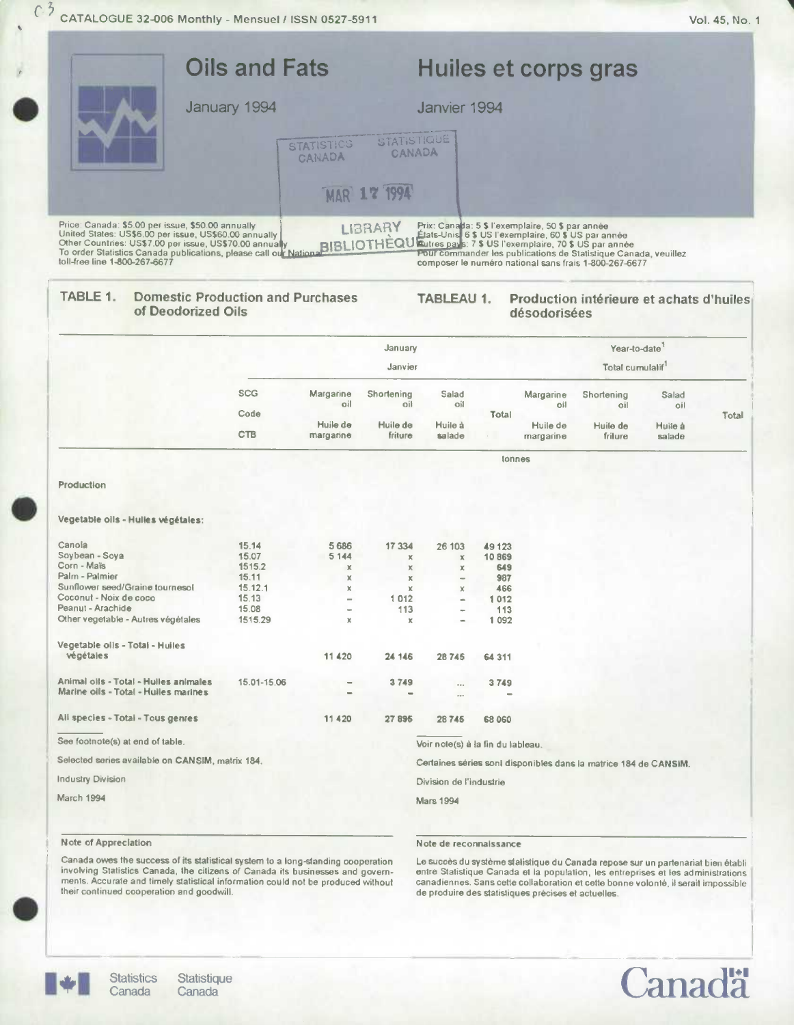|                               | <b>Oils and Fats</b>                                                                                                                                                                                                                       |                                                   |                                       | Huiles et corps gras                                                                                                                                                                                                                                                                          |
|-------------------------------|--------------------------------------------------------------------------------------------------------------------------------------------------------------------------------------------------------------------------------------------|---------------------------------------------------|---------------------------------------|-----------------------------------------------------------------------------------------------------------------------------------------------------------------------------------------------------------------------------------------------------------------------------------------------|
|                               | January 1994                                                                                                                                                                                                                               | <b>STATISTICS</b><br>CANADA<br><b>MAR 17 1994</b> | Janvier 1994<br>STATISTIQUE<br>CANADA |                                                                                                                                                                                                                                                                                               |
| toll-free line 1-800-267-6677 | Price: Canada: \$5.00 per issue, \$50.00 annually<br>United States: US\$6.00 per issue, US\$60.00 annually<br>Other Countries: US\$7.00 per issue, US\$70.00 annually<br>To order Statistics Canada publications, please call our National | <b>LIBRARY</b><br><b>BIBLIOTHÈQU</b>              |                                       | Prix: Canada: 5 \$ l'exemplaire, 50 \$ par année<br>États-Unis, 6 \$ US l'exemplaire, 60 \$ US par année<br>Rutres pays: 7 \$ US l'exemplaire, 70 \$ US par année<br>Pour commander les publications de Statistique Canada, veuillez<br>composer le numéro national sans frais 1-800-267-6677 |
| TABLE 1.                      | <b>Domestic Production and Purchases</b><br>of Deodorized Oils                                                                                                                                                                             |                                                   | <b>TABLEAU 1.</b>                     | Production intérieure et achats d'huiles<br>désodorisées                                                                                                                                                                                                                                      |
|                               |                                                                                                                                                                                                                                            | January                                           |                                       | Year-to-date                                                                                                                                                                                                                                                                                  |
|                               |                                                                                                                                                                                                                                            |                                                   | Janvier                               | Total cumulalif <sup>1</sup>                                                                                                                                                                                                                                                                  |

| <b>CTB</b> | Huile de<br>margarine | Huile de<br>friture | Huile à<br>salade |       | Huile de<br>margarine | Huile de<br>friture | Huile à<br>salade |       |
|------------|-----------------------|---------------------|-------------------|-------|-----------------------|---------------------|-------------------|-------|
| Code       |                       |                     |                   | Total |                       |                     |                   | Total |
| <b>SCG</b> | Margarine<br>oil      | Shortening<br>oil   | Salad<br>oil      |       | Margarine<br>oil      | Shortening<br>oil   | Salad<br>oil      |       |

Production

#### Vegetable oils - Hulles végétales:

| Canola                                           | 15.14       | 5 6 8 6 | 17 334      | 26 103                   | 49 123                                                          |  |
|--------------------------------------------------|-------------|---------|-------------|--------------------------|-----------------------------------------------------------------|--|
| Soybean - Soya                                   | 15.07       | 5 1 4 4 | $\mathbf x$ | x                        | 10869                                                           |  |
| Corn - Maïs                                      | 1515.2      | x       | x           | x                        | 649                                                             |  |
| Palm - Palmier                                   | 15.11       | x       | x           | $\overline{\phantom{a}}$ | 987                                                             |  |
| Sunflower seed/Graine tournesol                  | 15.12.1     | x       | $\mathbf x$ | ×                        | 466                                                             |  |
| Coconut - Noix de coco                           | 15.13       | -       | 1012        | $\frac{1}{2}$            | 1012                                                            |  |
| Peanut - Arachide                                | 15.08       |         | 113         | ee-                      | 113                                                             |  |
| Other vegetable - Autres végétales               | 1515.29     | x       | x           | ÷                        | 1 0 9 2                                                         |  |
| Vegetable olis - Totai - Huiles<br>végétales     |             | 11 4 20 | 24 14 6     | 28745                    | 64 3 1 1                                                        |  |
| Animal oils - Total - Hulles animales            | 15.01-15.06 |         | 3749        |                          | 3749                                                            |  |
| Marine oils - Total - Huiles marines             |             |         |             | $\cdots$<br>0.01         |                                                                 |  |
| All species - Total - Tous genres                |             | 11 4 20 | 27895       | 28745                    | 68 060                                                          |  |
| See footnote(s) at end of table.                 |             |         |             |                          |                                                                 |  |
|                                                  |             |         |             |                          | Voir note(s) à la fin du lableau.                               |  |
| Selected series available on CANSIM, matrix 184. |             |         |             |                          | Certaines séries sont disponibles dans la matrice 184 de CANSIM |  |
| <b>Industry Division</b>                         |             |         |             | Division de l'industrie  |                                                                 |  |
| March 1994                                       |             |         |             | <b>Mars 1994</b>         |                                                                 |  |
|                                                  |             |         |             |                          |                                                                 |  |

#### Note of Appreciation

Note de reconnaissance

Canada owes the success of its statistical system to a long-standing cooperation involving Statistics Canada, the citizens of Canada its businesses and governments. Accurate and timely statistical information could not be produced without their continued cooperation and goodwill.

Le succès du système statistique du Canada repose sur un partenariat bien établi<br>entre Statistique Canada et la population, les entreprises et les administrations<br>canadiennes. Sans cette collaboration et cette bonne volont de produire des statistiques précises et actuelles.



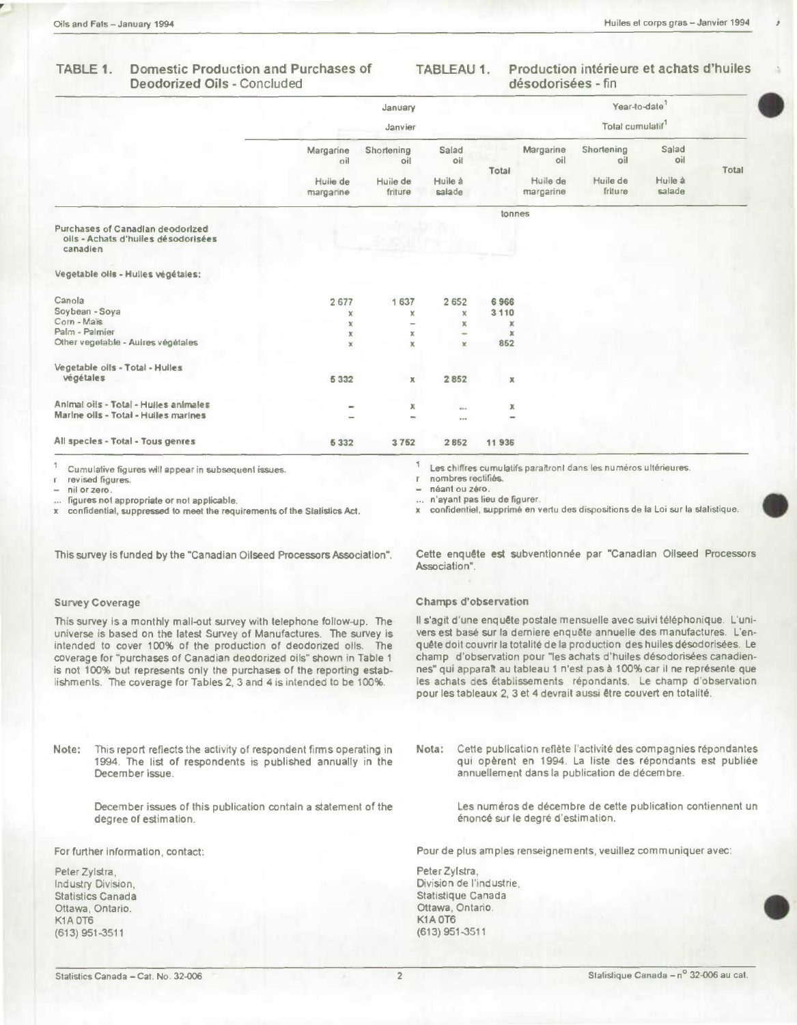$\overline{\mathcal{E}}$ 

 $\Delta$ 

#### TABLE 1. Domestic Production and Purchases of TABLEAU 1. **Deodorized Oils - Concluded**

Production intérieure et achats d'huiles désodorisées - fin

|                                                                                                                                                                                                                                                                                                                                                                                                                                                |                       | January<br>Janvier  |                                    |             |                                   | Year-to-date <sup>7</sup><br>Total cumulatif                                                                                                                                                                                                                                                                                                                                                                                                                                                                                      |                   |       |
|------------------------------------------------------------------------------------------------------------------------------------------------------------------------------------------------------------------------------------------------------------------------------------------------------------------------------------------------------------------------------------------------------------------------------------------------|-----------------------|---------------------|------------------------------------|-------------|-----------------------------------|-----------------------------------------------------------------------------------------------------------------------------------------------------------------------------------------------------------------------------------------------------------------------------------------------------------------------------------------------------------------------------------------------------------------------------------------------------------------------------------------------------------------------------------|-------------------|-------|
|                                                                                                                                                                                                                                                                                                                                                                                                                                                | Margarine<br>oil      | Shortening<br>oil   | Salad<br>oil                       |             | Margarine<br>oil                  | Shortening<br>oil                                                                                                                                                                                                                                                                                                                                                                                                                                                                                                                 | Salad<br>oil      |       |
|                                                                                                                                                                                                                                                                                                                                                                                                                                                | Huile de<br>margarine | Huile de<br>friture | Huile à<br>salade                  | Total       | Huile de<br>margarine             | Huile de<br>friture                                                                                                                                                                                                                                                                                                                                                                                                                                                                                                               | Huile à<br>salade | Total |
|                                                                                                                                                                                                                                                                                                                                                                                                                                                |                       |                     |                                    | tonnes      |                                   |                                                                                                                                                                                                                                                                                                                                                                                                                                                                                                                                   |                   |       |
| Purchases of Canadian deodorized<br>oils - Achats d'huiles désodorisées<br>canadien                                                                                                                                                                                                                                                                                                                                                            |                       |                     |                                    |             |                                   |                                                                                                                                                                                                                                                                                                                                                                                                                                                                                                                                   |                   |       |
| Vegetable oils - Hulles végétales;                                                                                                                                                                                                                                                                                                                                                                                                             |                       |                     |                                    |             |                                   |                                                                                                                                                                                                                                                                                                                                                                                                                                                                                                                                   |                   |       |
| Canola                                                                                                                                                                                                                                                                                                                                                                                                                                         | 2677                  | 1637                | 2652                               | 6966        |                                   |                                                                                                                                                                                                                                                                                                                                                                                                                                                                                                                                   |                   |       |
| Soybean - Soya                                                                                                                                                                                                                                                                                                                                                                                                                                 | x                     | x                   | ×                                  | 3110        |                                   |                                                                                                                                                                                                                                                                                                                                                                                                                                                                                                                                   |                   |       |
| Corn - Mais<br>Palm - Palmier                                                                                                                                                                                                                                                                                                                                                                                                                  | x                     |                     | x                                  | x           |                                   |                                                                                                                                                                                                                                                                                                                                                                                                                                                                                                                                   |                   |       |
| Other vegetable - Aulres végétales                                                                                                                                                                                                                                                                                                                                                                                                             | ×<br>x                | х<br>x              | x                                  | ×<br>852    |                                   |                                                                                                                                                                                                                                                                                                                                                                                                                                                                                                                                   |                   |       |
|                                                                                                                                                                                                                                                                                                                                                                                                                                                |                       |                     |                                    |             |                                   |                                                                                                                                                                                                                                                                                                                                                                                                                                                                                                                                   |                   |       |
| Vegetable oils - Total - Hulles<br>végétales                                                                                                                                                                                                                                                                                                                                                                                                   | 5332                  | х                   | 2852                               | $\mathbb X$ |                                   |                                                                                                                                                                                                                                                                                                                                                                                                                                                                                                                                   |                   |       |
| Animal oils - Total - Hulles animales                                                                                                                                                                                                                                                                                                                                                                                                          |                       |                     |                                    |             |                                   |                                                                                                                                                                                                                                                                                                                                                                                                                                                                                                                                   |                   |       |
| Marine oils - Total - Huiles marines                                                                                                                                                                                                                                                                                                                                                                                                           |                       | х                   | 000<br>000                         | х           |                                   |                                                                                                                                                                                                                                                                                                                                                                                                                                                                                                                                   |                   |       |
| All species - Total - Tous genres                                                                                                                                                                                                                                                                                                                                                                                                              | 5332                  | 3752                | 2 852                              | 11936       |                                   |                                                                                                                                                                                                                                                                                                                                                                                                                                                                                                                                   |                   |       |
| Cumulative figures will appear in subsequent issues.                                                                                                                                                                                                                                                                                                                                                                                           |                       |                     |                                    |             |                                   | Les chiffres cumulatifs paraitront dans les numéros ultérieures.                                                                                                                                                                                                                                                                                                                                                                                                                                                                  |                   |       |
|                                                                                                                                                                                                                                                                                                                                                                                                                                                |                       |                     | nombres rectifiés.                 |             |                                   |                                                                                                                                                                                                                                                                                                                                                                                                                                                                                                                                   |                   |       |
|                                                                                                                                                                                                                                                                                                                                                                                                                                                |                       |                     |                                    |             |                                   |                                                                                                                                                                                                                                                                                                                                                                                                                                                                                                                                   |                   |       |
| revised figures.<br>nil or zero.                                                                                                                                                                                                                                                                                                                                                                                                               |                       |                     | néant ou zéro.                     |             |                                   |                                                                                                                                                                                                                                                                                                                                                                                                                                                                                                                                   |                   |       |
| figures not appropriate or not applicable.                                                                                                                                                                                                                                                                                                                                                                                                     |                       |                     | n'ayant pas lieu de figurer.       |             |                                   |                                                                                                                                                                                                                                                                                                                                                                                                                                                                                                                                   |                   |       |
|                                                                                                                                                                                                                                                                                                                                                                                                                                                |                       | х                   |                                    |             |                                   | confidentiel, supprimé en vertu des dispositions de la Loi sur la stalistique.                                                                                                                                                                                                                                                                                                                                                                                                                                                    |                   |       |
|                                                                                                                                                                                                                                                                                                                                                                                                                                                |                       |                     |                                    |             |                                   |                                                                                                                                                                                                                                                                                                                                                                                                                                                                                                                                   |                   |       |
|                                                                                                                                                                                                                                                                                                                                                                                                                                                |                       |                     |                                    |             |                                   | Cette enquête est subventionnée par "Canadian Oilseed Processors                                                                                                                                                                                                                                                                                                                                                                                                                                                                  |                   |       |
|                                                                                                                                                                                                                                                                                                                                                                                                                                                |                       |                     | Association".                      |             |                                   |                                                                                                                                                                                                                                                                                                                                                                                                                                                                                                                                   |                   |       |
|                                                                                                                                                                                                                                                                                                                                                                                                                                                |                       |                     |                                    |             |                                   |                                                                                                                                                                                                                                                                                                                                                                                                                                                                                                                                   |                   |       |
| к<br>x confidential, suppressed to meet the requirements of the Statistics Act.<br>This survey is funded by the "Canadian Oilseed Processors Association".<br><b>Survey Coverage</b>                                                                                                                                                                                                                                                           |                       |                     | <b>Champs d'observation</b>        |             |                                   |                                                                                                                                                                                                                                                                                                                                                                                                                                                                                                                                   |                   |       |
|                                                                                                                                                                                                                                                                                                                                                                                                                                                |                       |                     |                                    |             |                                   | Il s'agit d'une enquête postale mensuelle avec suivi téléphonique. L'uni-<br>vers est basé sur la derniere enquête annuelle des manufactures. L'en-<br>quête doit couvrir la totalité de la production des huiles désodorisées. Le<br>champ d'observation pour "les achats d'huiles désodorisées canadien-<br>nes" qui apparaît au tableau 1 n'est pas à 100% car il ne représente que<br>les achats des établissements répondants. Le champ d'observation<br>pour les tableaux 2, 3 et 4 devrait aussi être couvert en totalité. |                   |       |
| This survey is a monthly mail-out survey with telephone follow-up. The<br>universe is based on the latest Survey of Manufactures. The survey is<br>intended to cover 100% of the production of deodorized olls. The<br>coverage for "purchases of Canadian deodorized oils" shown in Table 1<br>is not 100% but represents only the purchases of the reporting estab-<br>lishments. The coverage for Tables 2, 3 and 4 is intended to be 100%. |                       |                     |                                    |             |                                   |                                                                                                                                                                                                                                                                                                                                                                                                                                                                                                                                   |                   |       |
| Note:<br>This report reflects the activity of respondent firms operating in<br>1994. The list of respondents is published annually in the<br>December issue.                                                                                                                                                                                                                                                                                   |                       |                     | Nota:                              |             |                                   | Cette publication reflète l'activité des compagnies répondantes<br>qui opèrent en 1994. La liste des répondants est publiée<br>annuellement dans la publication de décembre.                                                                                                                                                                                                                                                                                                                                                      |                   |       |
| December issues of this publication contain a statement of the<br>degree of estimation.                                                                                                                                                                                                                                                                                                                                                        |                       |                     |                                    |             | énoncé sur le degré d'estimation. | Les numéros de décembre de cette publication contiennent un                                                                                                                                                                                                                                                                                                                                                                                                                                                                       |                   |       |
|                                                                                                                                                                                                                                                                                                                                                                                                                                                |                       |                     |                                    |             |                                   | Pour de plus amples renseignements, veuillez communiquer avec:                                                                                                                                                                                                                                                                                                                                                                                                                                                                    |                   |       |
|                                                                                                                                                                                                                                                                                                                                                                                                                                                |                       |                     | Peter Zylstra,                     |             |                                   |                                                                                                                                                                                                                                                                                                                                                                                                                                                                                                                                   |                   |       |
| For further information, contact:<br>Peter Zylstra,<br>Industry Division,                                                                                                                                                                                                                                                                                                                                                                      |                       |                     | Division de l'industrie.           |             |                                   |                                                                                                                                                                                                                                                                                                                                                                                                                                                                                                                                   |                   |       |
|                                                                                                                                                                                                                                                                                                                                                                                                                                                |                       |                     | Statistique Canada                 |             |                                   |                                                                                                                                                                                                                                                                                                                                                                                                                                                                                                                                   |                   |       |
|                                                                                                                                                                                                                                                                                                                                                                                                                                                |                       |                     | Ottawa, Ontario.                   |             |                                   |                                                                                                                                                                                                                                                                                                                                                                                                                                                                                                                                   |                   |       |
| <b>Statistics Canada</b><br>Ottawa, Ontario.<br>K1A 0T6<br>$(613)$ 951-3511                                                                                                                                                                                                                                                                                                                                                                    |                       |                     | <b>K1A 0T6</b><br>$(613)$ 951-3511 |             |                                   |                                                                                                                                                                                                                                                                                                                                                                                                                                                                                                                                   |                   |       |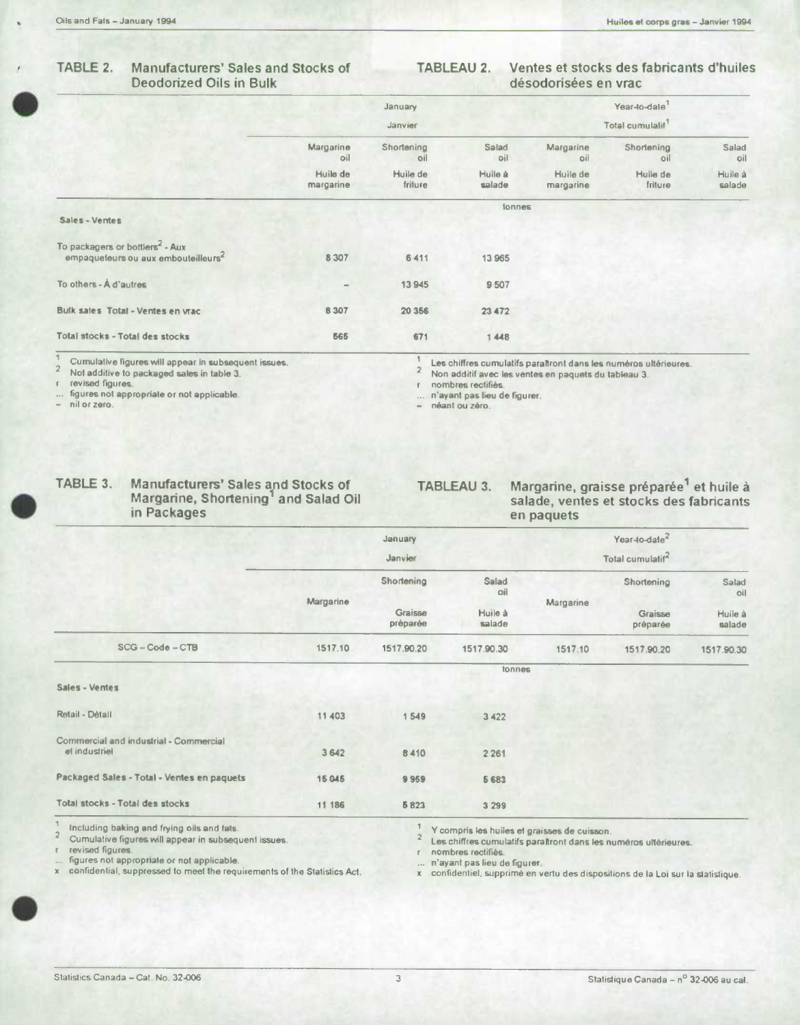#### **TABLE 2. Manufacturers' Sales and Stocks of TABLEAU 2. Ventes et stocks des fabncants d'huiles Deodorized Oils in Bulk désodorisées en vrac**

|                                                                                                |                       | January             |                              |                       | Year-to-date        |                   |
|------------------------------------------------------------------------------------------------|-----------------------|---------------------|------------------------------|-----------------------|---------------------|-------------------|
|                                                                                                |                       | Janvier             | Total cumulalif <sup>1</sup> |                       |                     |                   |
|                                                                                                | Margarine<br>oil      | Shortening<br>oil   | Salad<br>oil                 | Margarine<br>oil      | Shortening<br>oil   | Salad<br>oil      |
|                                                                                                | Huile de<br>margarine | Huile de<br>friture | Huile à<br>salade            | Huile de<br>margarine | Huile de<br>friture | Huile à<br>salade |
| Sales - Ventes                                                                                 |                       |                     | tonnes                       |                       |                     |                   |
| To packagers or bottlers <sup>2</sup> - Aux<br>empaqueleurs ou aux embouteilleurs <sup>4</sup> | 8 3 0 7               | 6411                | 13 965                       |                       |                     |                   |
| To others - A d'autres                                                                         | -                     | 13945               | 9507                         |                       |                     |                   |
| Bulk sales Total - Ventes en vrac                                                              | 8 3 0 7               | 20 35 6             | 23 472                       |                       |                     |                   |
| Total stocks - Total des stocks                                                                | 565                   | 671                 | 1448                         |                       |                     |                   |

**revised figures. r nombres rectiflés. figures not appropriate or not applicable. ... n'ayant pas lieu de figurer. - nil or zero. - néant ou zero.** 

1 Cumulative figures will appear in subsequent issues.<br>
<sup>2</sup> Not additive to packaged sales in table 3.<br>
τ revised figures.<br>
τ revised figures.<br> **2** Non additif avec les ventes en paquets du tableau 3.

# **FABLE 3.** Manufacturers' Sales and Stocks of **FABLEAU 3.** Margarine, graisse préparée<sup>1</sup> et huile à salade, ventes et stocks des fabricants in Packages en paquets

## salade, ventes et stocks des fabricants **in Packages en paquets**

|                                                         |           | January                                  |                     |           | Year-to-date <sup>2</sup>    |                   |
|---------------------------------------------------------|-----------|------------------------------------------|---------------------|-----------|------------------------------|-------------------|
|                                                         |           | Janvier                                  |                     |           | Total cumulatif <sup>2</sup> |                   |
|                                                         |           | Shortening                               | <b>Salad</b><br>oil |           | Shortening                   | Salad<br>oil      |
|                                                         | Margarine | Graisse<br>Huile à<br>préparée<br>salade |                     | Margarine | Graisse<br>préparée          | Huile à<br>salade |
| $SCG - Code - CTB$                                      | 1517.10   | 1517.90.20                               | 1517.90.30          | 1517.10   | 1517.90.20                   | 1517.90.30        |
|                                                         |           |                                          | tonnes              |           |                              |                   |
| Sales - Ventes                                          |           |                                          |                     |           |                              |                   |
| Retail - Détail                                         | 11 403    | 1549                                     | 3 4 2 2             |           |                              |                   |
| Commercial and industrial - Commercial<br>et industriel | 3 642     | 8410                                     | 2 2 6 1             |           |                              |                   |
| Packaged Sales - Total - Ventes en paquets              | 15 045    | 9959                                     | 5 6 8 3             |           |                              |                   |
| Total stocks - Total des stocks                         | 11 186    | 5823                                     | 3 2 9 9             |           |                              |                   |

**2** 

**<sup>1</sup>Including baking and frying oils and fats.** 

... figures not appropriate or not applicable.<br>**x** confidential, suppressed to meet the requirements of the Statistics Act. **.** 

**<sup>i</sup>v compris lea huiles at graisses de cuisson.** 

**Cumulative figures will appear in subsequent issues.** <sup>2</sup> Les chiffres cumulatifs paraltront dans les numéros ultérieures.<br> **2** Les chiffres cumulatifs paraltront dans les numéros ultérieures.

**r** nombres rectifiés.<br>
... n'ayant pas lieu de figurer.

**x** confidentiel, supprimé en vertu des dispositions de la Loi sur la statistique.